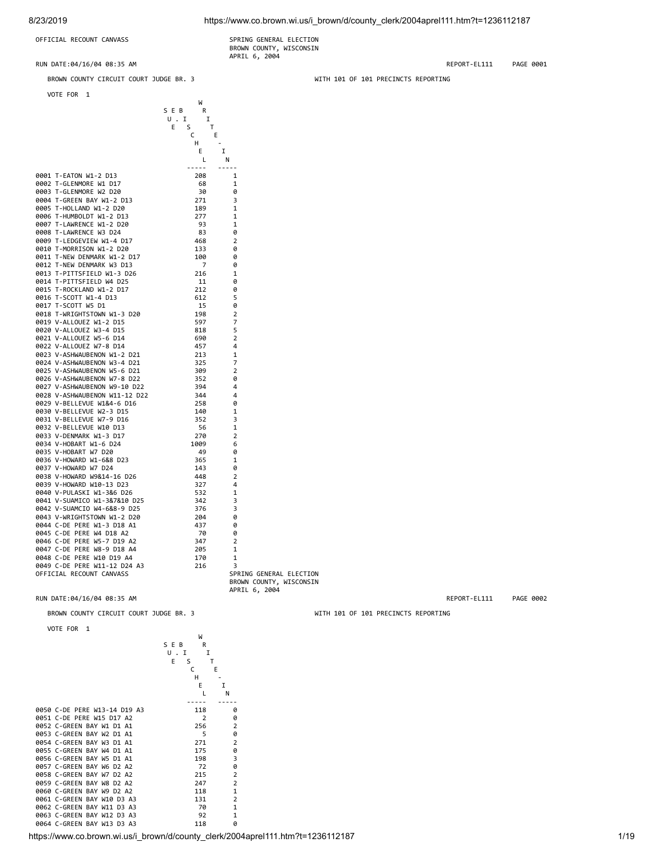8/23/2019 https://www.co.brown.wi.us/i\_brown/d/county\_clerk/2004aprel111.htm?t=1236112187

OFFICIAL RECOUNT CANVASS SPRING GENERAL ELECTION

BROWN COUNTY, WISCONSIN APRIL 6, 2004

RUN DATE:04/16/04 08:35 AM REPORT-EL111 PAGE 0001

BROWN COUNTY CIRCUIT COURT JUDGE BR. 3 WITH 101 OF 101 PRECINCTS REPORTING

VOTE FOR 1

|                               | W           |                |                         |
|-------------------------------|-------------|----------------|-------------------------|
|                               | SEB<br>R    |                |                         |
|                               | U.I<br>I    |                |                         |
|                               | E<br>S<br>Τ |                |                         |
|                               | С<br>E      |                |                         |
|                               |             |                |                         |
|                               | н           |                |                         |
|                               | Ε<br>I      |                |                         |
|                               | L           | Ν              |                         |
|                               | .           | -----          |                         |
| 0001 T-EATON W1-2 D13         | 208         | 1              |                         |
| 0002 T-GLENMORE W1 D17        | 68          | 1              |                         |
| 0003 T-GLENMORE W2 D20        | 30          | 0              |                         |
| 0004 T-GREEN BAY W1-2 D13     | 271         | 3              |                         |
| 0005 T-HOLLAND W1-2 D20       | 189         | 1              |                         |
| 0006 T-HUMBOLDT W1-2 D13      |             | 1              |                         |
|                               | 277         |                |                         |
| 0007 T-LAWRENCE W1-2 D20      | 93          | 1              |                         |
| 0008 T-LAWRENCE W3 D24        | 83          | 0              |                         |
| 0009 T-LEDGEVIEW W1-4 D17     | 468         | $\overline{2}$ |                         |
| 0010 T-MORRISON W1-2 D20      | 133         | 0              |                         |
| 0011 T-NEW DENMARK W1-2 D17   | 100         | 0              |                         |
| 0012 T-NEW DENMARK W3 D13     | 7           | 0              |                         |
| 0013 T-PITTSFIELD W1-3 D26    | 216         | 1              |                         |
| 0014 T-PITTSFIELD W4 D25      | 11          | 0              |                         |
| 0015 T-ROCKLAND W1-2 D17      | 212         | 0              |                         |
| 0016 T-SCOTT W1-4 D13         | 612         | 5              |                         |
|                               |             |                |                         |
| 0017 T-SCOTT W5 D1            | 15          | 0              |                         |
| 0018 T-WRIGHTSTOWN W1-3 D20   | 198         | $\overline{2}$ |                         |
| 0019 V-ALLOUEZ W1-2 D15       | 597         | 7              |                         |
| 0020 V-ALLOUEZ W3-4 D15       | 818         | 5              |                         |
| 0021 V-ALLOUEZ W5-6 D14       | 690         | $\overline{2}$ |                         |
| 0022 V-ALLOUEZ W7-8 D14       | 457         | 4              |                         |
| 0023 V-ASHWAUBENON W1-2 D21   | 213         | 1              |                         |
| 0024 V-ASHWAUBENON W3-4 D21   | 325         | 7              |                         |
| 0025 V-ASHWAUBENON W5-6 D21   | 309         | $\overline{2}$ |                         |
| 0026 V-ASHWAUBENON W7-8 D22   | 352         | 0              |                         |
| 0027 V-ASHWAUBENON W9-10 D22  | 394         | 4              |                         |
| 0028 V-ASHWAUBENON W11-12 D22 | 344         | 4              |                         |
| 0029 V-BELLEVUE W1&4-6 D16    | 258         | 0              |                         |
| 0030 V-BELLEVUE W2-3 D15      |             |                |                         |
|                               | 140         | 1              |                         |
| 0031 V-BELLEVUE W7-9 D16      | 352         | 3              |                         |
| 0032 V-BELLEVUE W10 D13       | 56          | 1              |                         |
| 0033 V-DENMARK W1-3 D17       | 270         | $\overline{2}$ |                         |
| 0034 V-HOBART W1-6 D24        | 1009        | 6              |                         |
| 0035 V-HOBART W7 D20          | 49          | 0              |                         |
| 0036 V-HOWARD W1-6&8 D23      | 365         | 1              |                         |
| 0037 V-HOWARD W7 D24          | 143         | 0              |                         |
| 0038 V-HOWARD W9&14-16 D26    | 448         | $\overline{2}$ |                         |
| 0039 V-HOWARD W10-13 D23      | 327         | 4              |                         |
| 0040 V-PULASKI W1-3&6 D26     | 532         | 1              |                         |
| 0041 V-SUAMICO W1-3&7&10 D25  | 342         | 3              |                         |
| 0042 V-SUAMCIO W4-6&8-9 D25   | 376         | 3              |                         |
|                               |             |                |                         |
| 0043 V-WRIGHTSTOWN W1-2 D20   | 204         | 0              |                         |
| 0044 C-DE PERE W1-3 D18 A1    | 437         | 0              |                         |
| 0045 C-DE PERE W4 D18 A2      | 70          | 0              |                         |
| 0046 C-DE PERE W5-7 D19 A2    | 347         | $\overline{2}$ |                         |
| 0047 C-DE PERE W8-9 D18 A4    | 205         | 1              |                         |
| 0048 C-DE PERE W10 D19 A4     | 170         | 1              |                         |
| 0049 C-DE PERE W11-12 D24 A3  | 216         | 3              |                         |
| OFFICIAL RECOUNT CANVASS      |             |                | SPRING GENERAL ELECTION |

VOTE FOR 1

W<sub>N</sub> S E B R<br>U . I I<br>E S T U . I I<br>E S T **C** E H - E I L N ----- ----- 0050 C-DE PERE W13-14 D19 A3 118 0 0051 C-DE PERE W15 D17 A2 2 0<br>0052 C-GREEN BAY W1 D1 A1 256 2 0052 C-GREEN BAY W1 D1 A1 256 2<br>0053 C-GREEN BAY W2 D1 A1 5 0 0053 C-GREEN BAY W2 D1 A1 5 0<br>0054 C-GREEN BAY W3 D1 A1 271 2 0054 C-GREEN BAY W3 D1 A1 271 2 0055 C-GREEN BAY W4 D1 A1 175 0 0056 C-GREEN BAY W5 D1 A1 198 3<br>0057 C-GREEN BAY W5 D2 A2 72 0 0057 C-GREEN BAY W6 D2 A2 72 0<br>0058 C-GREEN BAY W7 D2 A2 215 2 0058 C-GREEN BAY W7 D2 A2 215 2<br>0059 C-GREEN BAY W8 D2 A2 247 2 0059 C-GREEN BAY W8 D2 A2 247 2<br>0060 C-GREEN BAY W9 D2 A2 2118 1 0060 C-GREEN BAY W9 D2 A2 0061 C-GREEN BAY W10 D3 A3 131 2 0062 C-GREEN BAY W11 D3 A3 70 1<br>0063 C-GREEN BAY W11 D3 A3 92 1 0063 C-GREEN BAY W12 D3 A3 92 1<br>0064 C-GREEN BAY W13 D3 A3 118 0 0064 C-GREEN BAY W13 D3 A3

BROWN COUNTY, WISCONSIN APRIL 6, 2004

https://www.co.brown.wi.us/i\_brown/d/county\_clerk/2004aprel111.htm?t=1236112187 1/19

RUN DATE:04/16/04 08:35 AM REPORT-EL111 PAGE 0002

BROWN COUNTY CIRCUIT COURT JUDGE BR. 3 WITH 101 OF 101 PRECINCTS REPORTING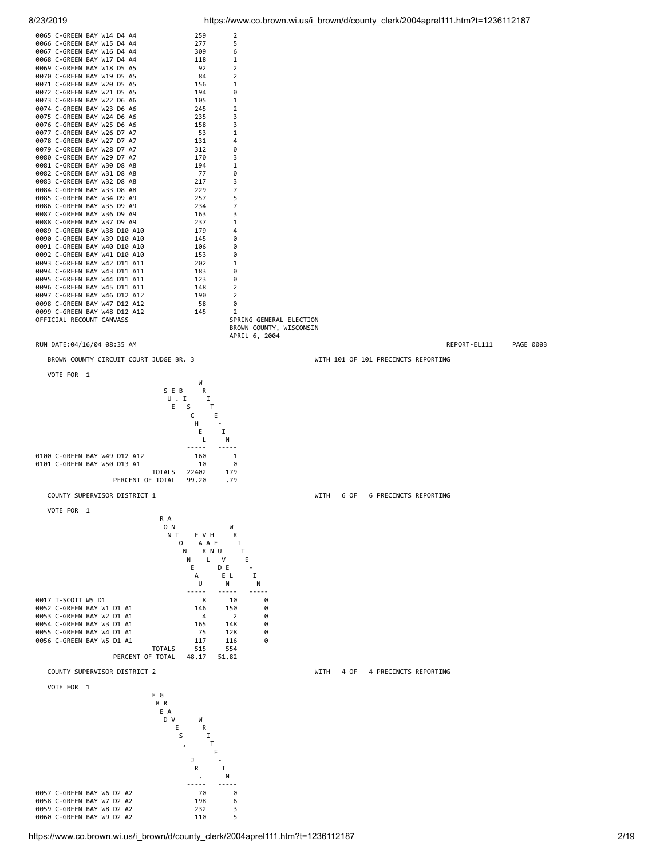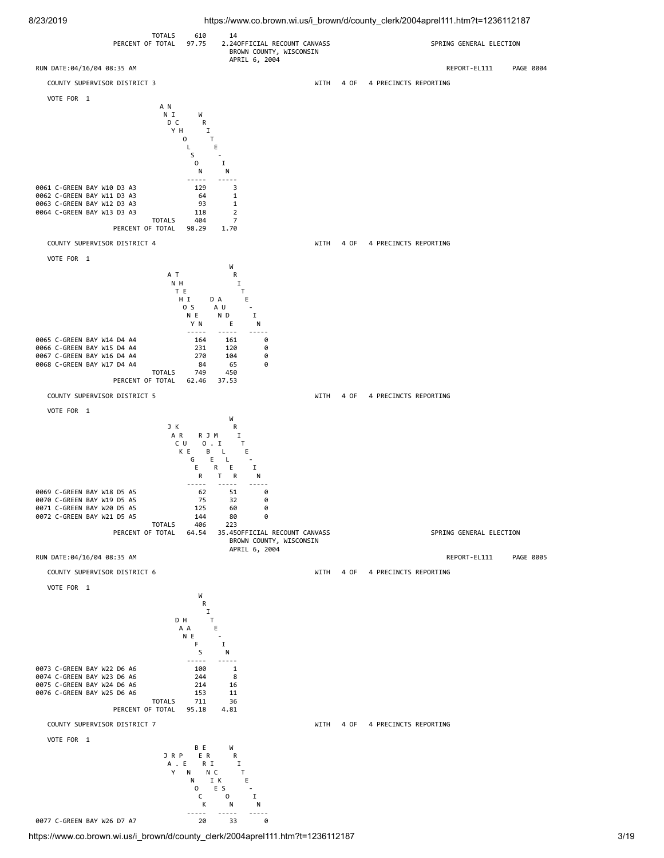8/23/2019 https://www.co.brown.wi.us/i\_brown/d/county\_clerk/2004aprel111.htm?t=1236112187

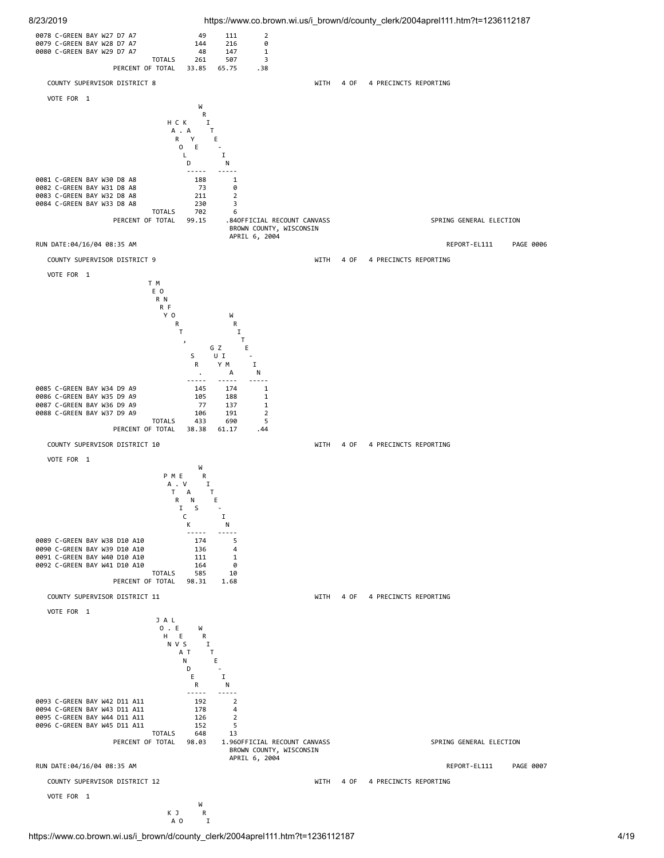



https://www.co.brown.wi.us/i\_brown/d/county\_clerk/2004aprel111.htm?t=1236112187 4/19

A O I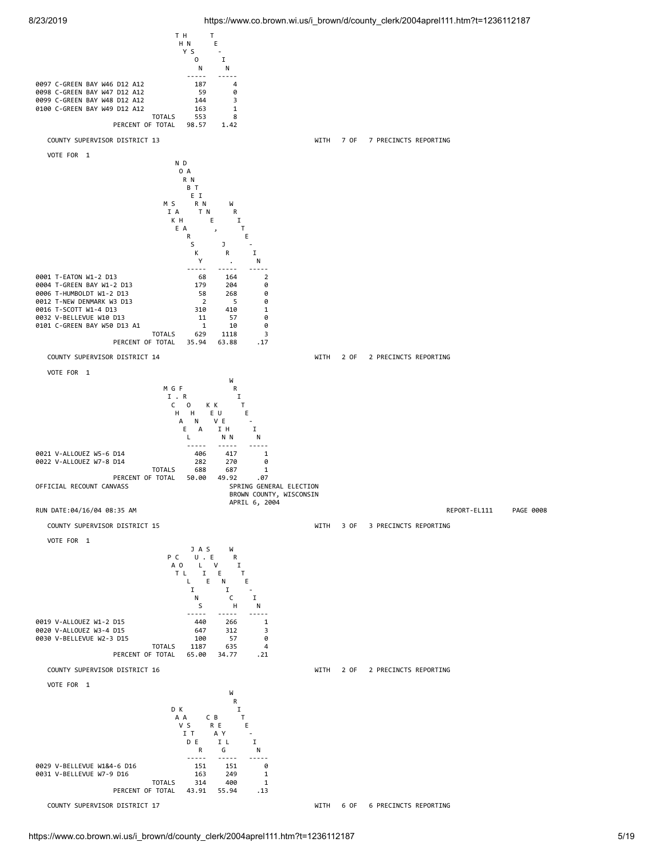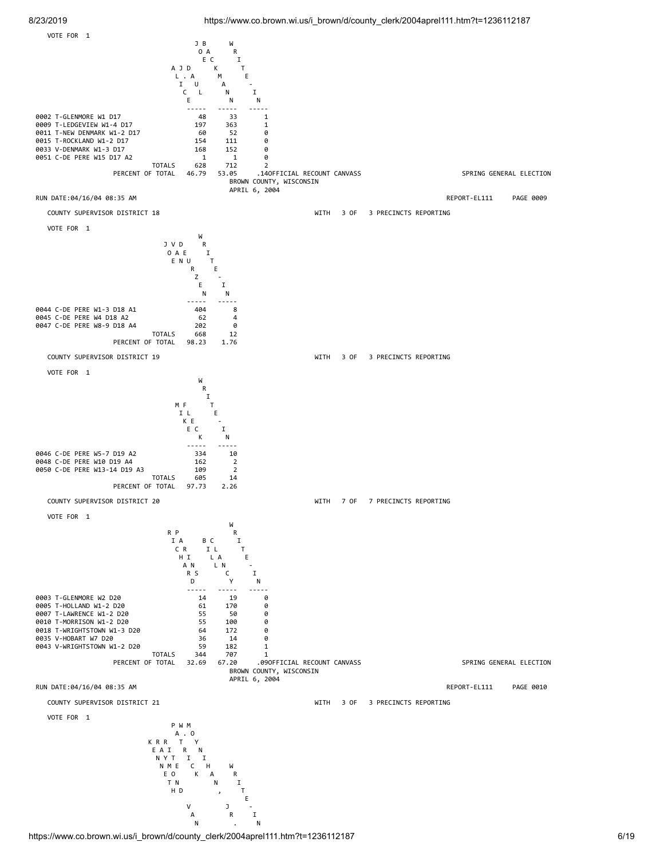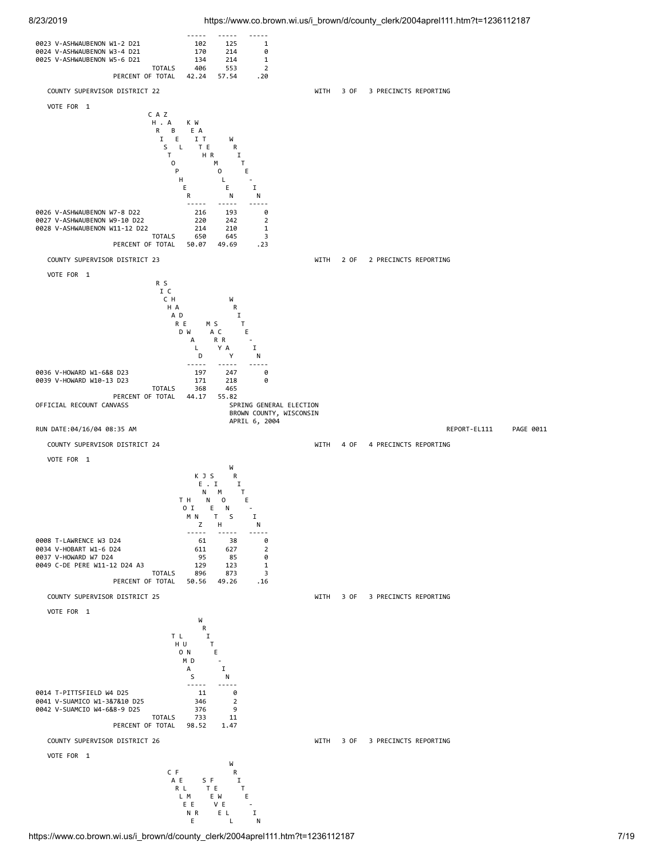

https://www.co.brown.wi.us/i\_brown/d/county\_clerk/2004aprel111.htm?t=1236112187 7/19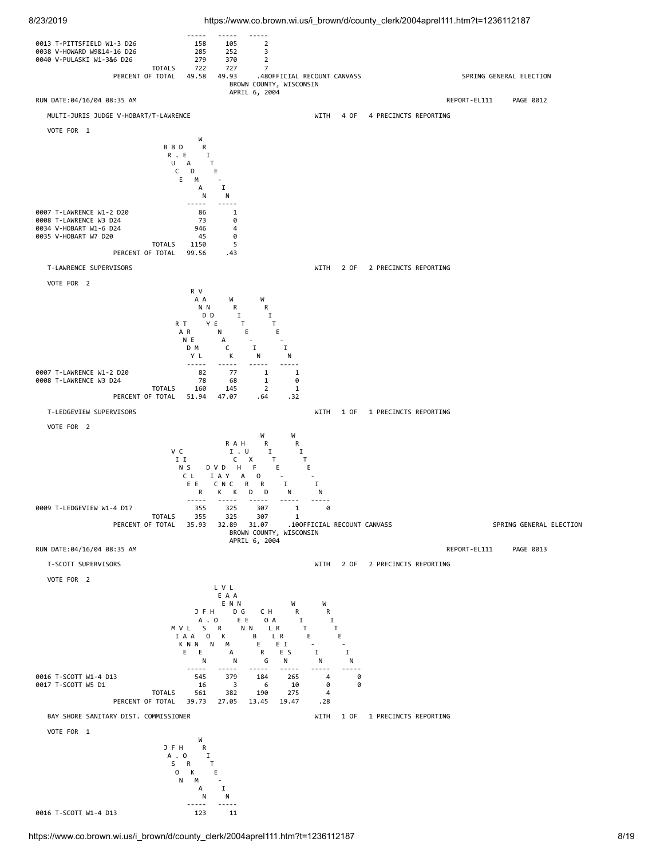

8/23/2019 https://www.co.brown.wi.us/i\_brown/d/county\_clerk/2004aprel111.htm?t=1236112187

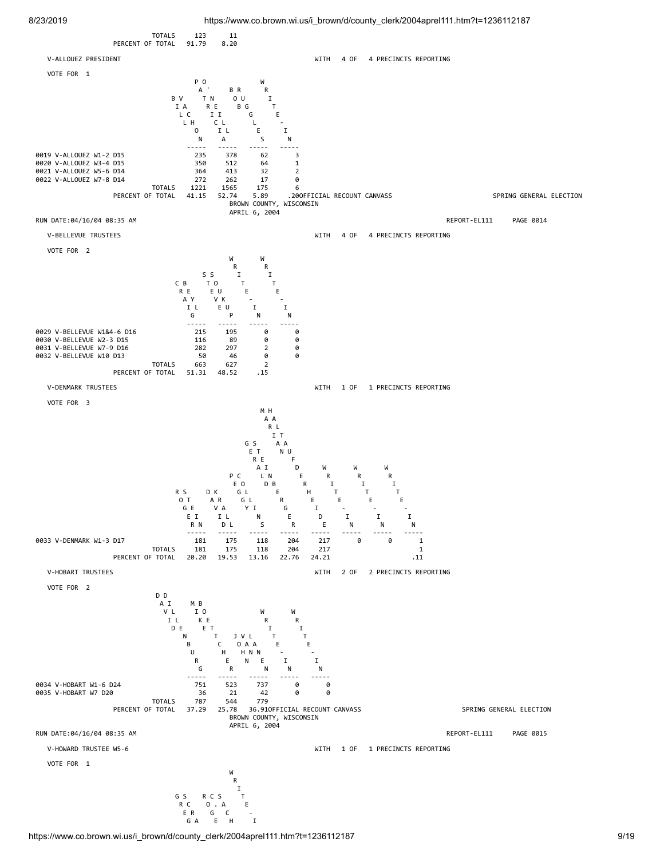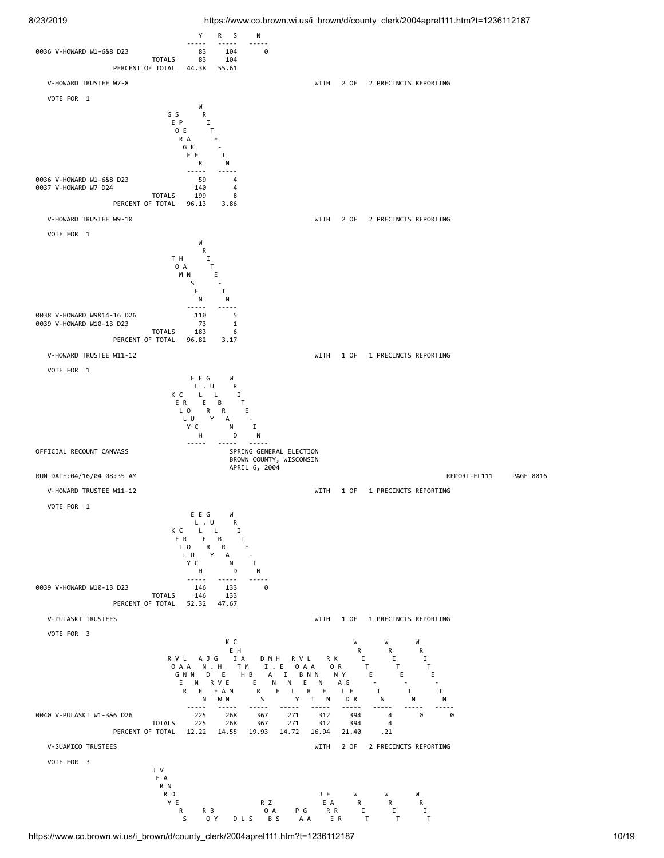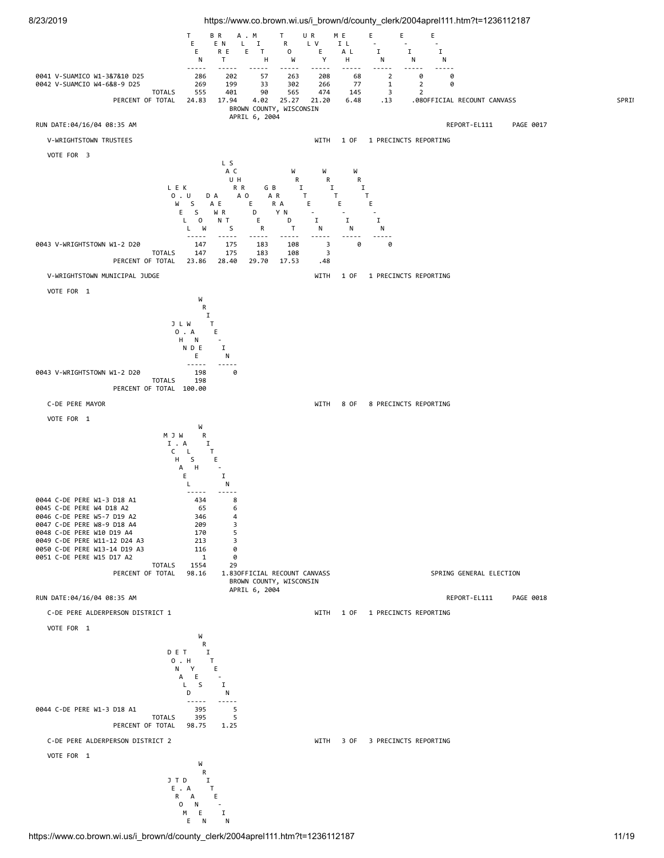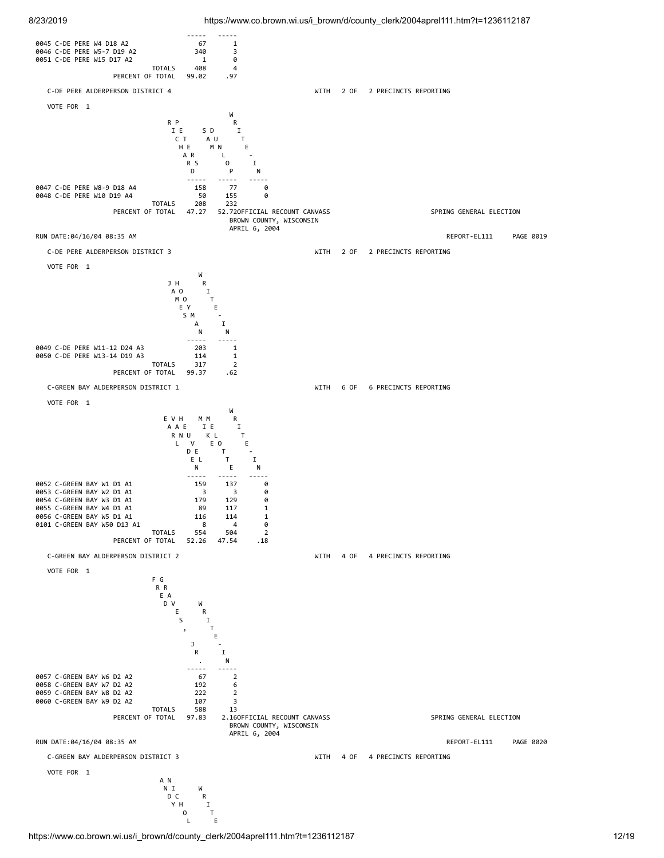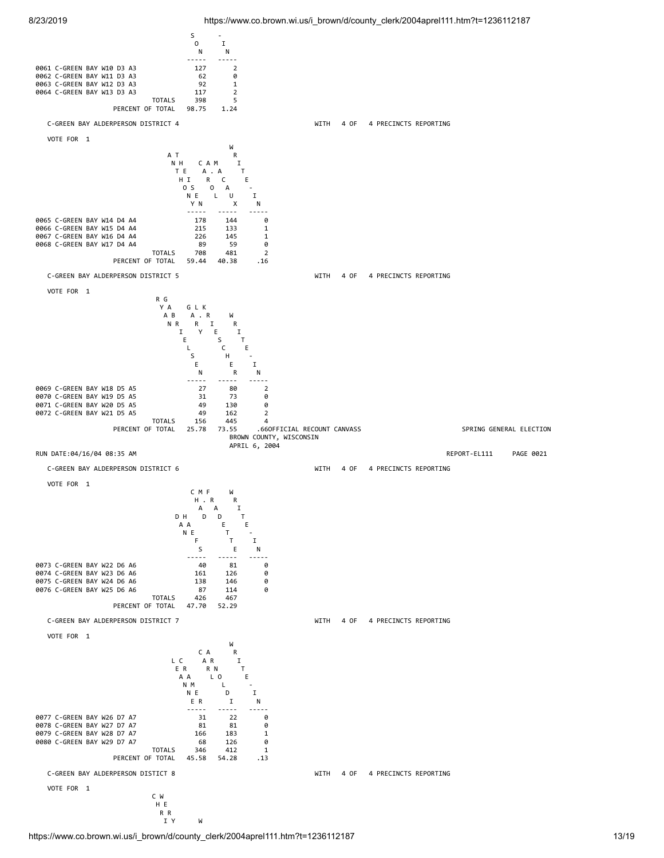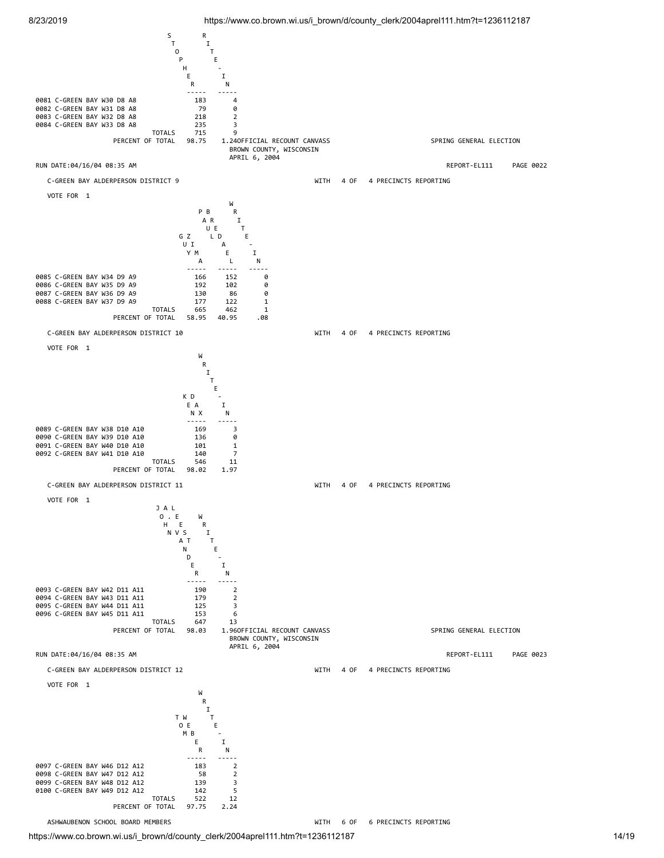



https://www.co.brown.wi.us/i\_brown/d/county\_clerk/2004aprel111.htm?t=1236112187 14/19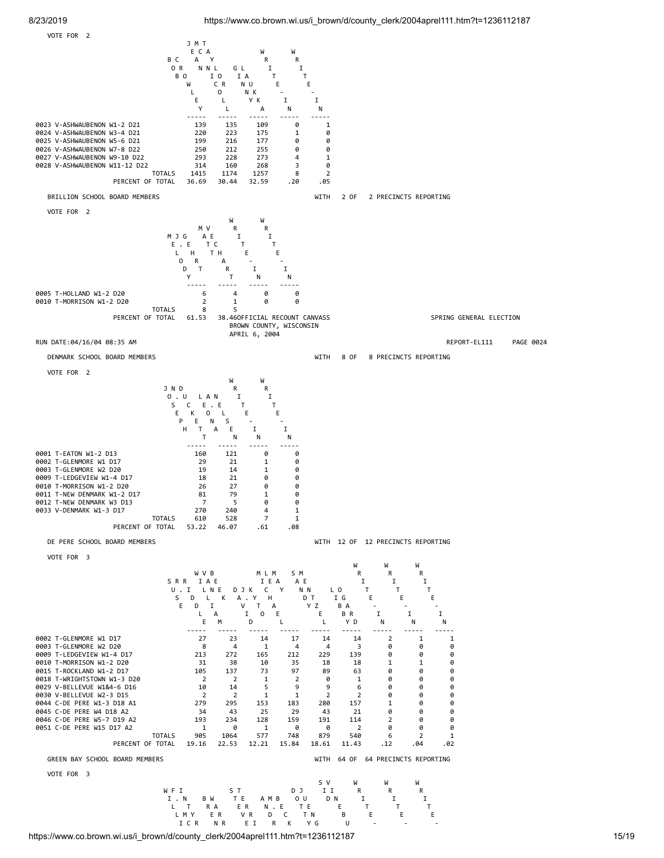

https://www.co.brown.wi.us/i\_brown/d/county\_clerk/2004aprel111.htm?t=1236112187 15/19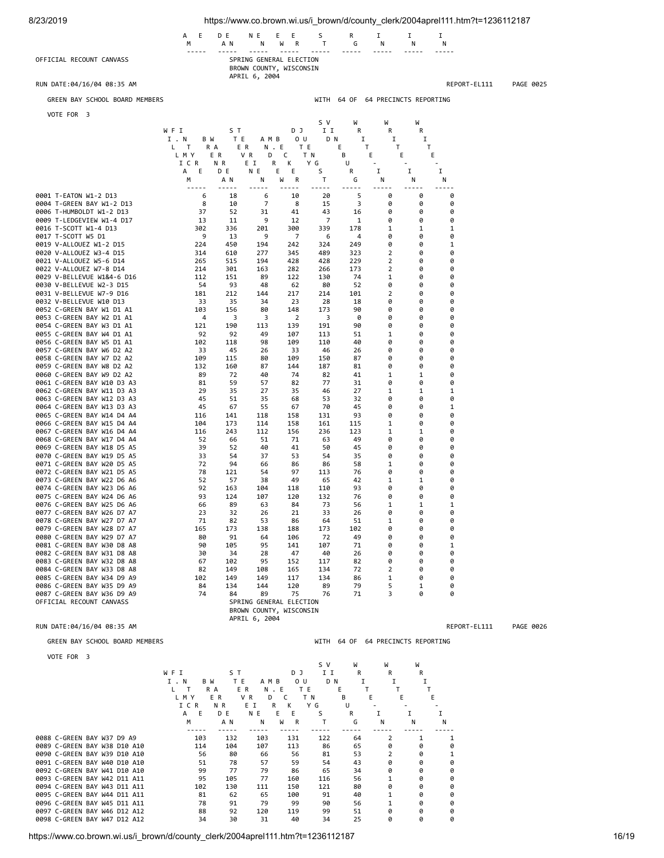| 8/23/2019                                                | https://www.co.brown.wi.us/i_brown/d/county_clerk/2004aprel111.htm?t=1236112187 |                                |                                                                     |                        |                         |                             |                       |                                   |              |           |
|----------------------------------------------------------|---------------------------------------------------------------------------------|--------------------------------|---------------------------------------------------------------------|------------------------|-------------------------|-----------------------------|-----------------------|-----------------------------------|--------------|-----------|
|                                                          | Е<br>А<br>М                                                                     | D E<br>A N                     | N E<br>Ν                                                            | Ε<br>Е<br>W<br>R       | S<br>Т                  | R<br>G                      | 1<br>N                | 1<br>N                            | Ι<br>Ν       |           |
| OFFICIAL RECOUNT CANVASS                                 |                                                                                 |                                | SPRING GENERAL ELECTION<br>BROWN COUNTY, WISCONSIN                  |                        |                         |                             |                       |                                   |              |           |
| RUN DATE:04/16/04 08:35 AM                               |                                                                                 |                                | APRIL 6, 2004                                                       |                        |                         |                             |                       |                                   | REPORT-EL111 | PAGE 0025 |
| GREEN BAY SCHOOL BOARD MEMBERS                           |                                                                                 |                                |                                                                     |                        | WITH                    | 64 OF                       |                       | 64 PRECINCTS REPORTING            |              |           |
| VOTE FOR 3                                               |                                                                                 |                                |                                                                     |                        |                         |                             |                       |                                   |              |           |
|                                                          | WFI                                                                             | S T                            |                                                                     | D J                    | s v<br>I I              | W<br>R                      | W<br>R                | W<br>R                            |              |           |
|                                                          | I . N<br>B W                                                                    | T E                            | A M B                                                               | 0 U                    | D N                     | 1                           | 1                     | I                                 |              |           |
|                                                          | L.<br>$\mathsf{T}$<br>L M Y                                                     | R A<br>E R<br>E R              | N.E<br>VR<br>D                                                      | T E<br>c               | T N                     | Е<br>T.<br>В                | T<br>Е                | Τ<br>E                            | Ε            |           |
|                                                          | ICR<br>Ε<br>А                                                                   | N R<br>D E                     | E I<br>R<br>ΝE                                                      | κ<br>Ε<br>Е            | Y G<br>S                | U<br>R                      | I                     | Ι.                                | I            |           |
|                                                          | М                                                                               | A N<br>-----                   | Ν<br>-----                                                          | W<br>R                 | Т<br>-----              | G<br>$- - - - -$            | N                     | Ν                                 | Ν<br>$- - -$ |           |
| 0001 T-EATON W1-2 D13                                    | 6                                                                               | 18                             | 6                                                                   | 10                     | 20                      | 5                           | 0                     | 0                                 | 0            |           |
| 0004 T-GREEN BAY W1-2 D13<br>0006 T-HUMBOLDT W1-2 D13    | 8<br>37                                                                         | 10<br>52                       | 7<br>31                                                             | 8<br>41                | 15<br>43                | 3<br>16                     | 0<br>0                | 0<br>0                            | 0<br>0       |           |
| 0009 T-LEDGEVIEW W1-4 D17<br>0016 T-SCOTT W1-4 D13       | 13<br>302                                                                       | 11<br>336                      | 9<br>201                                                            | 12<br>300              | 7<br>339                | 1<br>178                    | 0<br>1                | 0<br>1                            | 0<br>1       |           |
| 0017 T-SCOTT W5 D1                                       | 9                                                                               | 13                             | 9                                                                   | 7                      | 6                       | 4                           | 0                     | 0                                 | 0            |           |
| 0019 V-ALLOUEZ W1-2 D15<br>0020 V-ALLOUEZ W3-4 D15       | 224<br>314                                                                      | 450<br>610                     | 194<br>277                                                          | 242<br>345             | 324<br>489              | 249<br>323                  | 0<br>2                | 0<br>0                            | 1<br>0       |           |
| 0021 V-ALLOUEZ W5-6 D14                                  | 265                                                                             | 515                            | 194                                                                 | 428                    | 428                     | 229                         | 2                     | 0                                 | 0            |           |
| 0022 V-ALLOUEZ W7-8 D14<br>0029 V-BELLEVUE W1&4-6 D16    | 214<br>112                                                                      | 301<br>151                     | 163<br>89                                                           | 282<br>122             | 266<br>130              | 173<br>74                   | 2<br>1                | 0<br>0                            | 0<br>0       |           |
| 0030 V-BELLEVUE W2-3 D15                                 | 54                                                                              | 93                             | 48                                                                  | 62                     | 80                      | 52                          | 0                     | 0                                 | 0            |           |
| 0031 V-BELLEVUE W7-9 D16<br>0032 V-BELLEVUE W10 D13      | 181<br>33                                                                       | 212<br>35                      | 144<br>34                                                           | 217<br>23              | 214<br>28               | 101<br>18                   | 2<br>0                | 0<br>0                            | 0<br>0       |           |
| 0052 C-GREEN BAY W1 D1 A1                                | 103                                                                             | 156                            | 80                                                                  | 148                    | 173                     | 90                          | 0                     | 0                                 | 0            |           |
| 0053 C-GREEN BAY W2 D1 A1<br>0054 C-GREEN BAY W3 D1 A1   | $\overline{4}$<br>121                                                           | 3<br>190                       | 3<br>113                                                            | $\overline{2}$<br>139  | 3<br>191                | 0<br>90                     | 0<br>0                | 0<br>0                            | 0<br>0       |           |
| 0055 C-GREEN BAY W4 D1 A1                                | 92                                                                              | 92                             | 49                                                                  | 107                    | 113                     | 51                          | 1                     | 0                                 | 0            |           |
| 0056 C-GREEN BAY W5 D1 A1<br>0057 C-GREEN BAY W6 D2 A2   | 102<br>33                                                                       | 118<br>45                      | 98<br>26                                                            | 109<br>33              | 110<br>46               | 40<br>26                    | 0<br>0                | 0<br>0                            | 0<br>0       |           |
| 0058 C-GREEN BAY W7 D2 A2                                | 109                                                                             | 115                            | 80                                                                  | 109                    | 150                     | 87                          | 0                     | 0                                 | 0            |           |
| 0059 C-GREEN BAY W8 D2 A2<br>0060 C-GREEN BAY W9 D2 A2   | 132<br>89                                                                       | 160<br>72                      | 87<br>40                                                            | 144<br>74              | 187<br>82               | 81<br>41                    | 0<br>1                | 0<br>1                            | 0<br>0       |           |
| 0061 C-GREEN BAY W10 D3 A3                               | 81                                                                              | 59                             | 57                                                                  | 82                     | 77                      | 31                          | 0                     | 0                                 | 0            |           |
| 0062 C-GREEN BAY W11 D3 A3<br>0063 C-GREEN BAY W12 D3 A3 | 29<br>45                                                                        | 35<br>51                       | 27<br>35                                                            | 35<br>68               | 46<br>53                | 27<br>32                    | 1<br>0                | 1<br>0                            | 1<br>0       |           |
| 0064 C-GREEN BAY W13 D3 A3                               | 45                                                                              | 67                             | 55                                                                  | 67                     | 70                      | 45                          | 0                     | 0                                 | 1            |           |
| 0065 C-GREEN BAY W14 D4 A4<br>0066 C-GREEN BAY W15 D4 A4 | 116<br>104                                                                      | 141<br>173                     | 118<br>114                                                          | 158<br>158             | 131<br>161              | 93<br>115                   | 0<br>1                | 0<br>0                            | 0<br>0       |           |
| 0067 C-GREEN BAY W16 D4 A4                               | 116                                                                             | 243                            | 112                                                                 | 156                    | 236                     | 123                         | 1                     | 1                                 | 0            |           |
| 0068 C-GREEN BAY W17 D4 A4                               | 52<br>39                                                                        | 66                             | 51<br>40                                                            | 71<br>41               | 63                      | 49                          | 0<br>0                | 0<br>0                            | 0<br>0       |           |
| 0069 C-GREEN BAY W18 D5 A5<br>0070 C-GREEN BAY W19 D5 A5 | 33                                                                              | 52<br>54                       | 37                                                                  | 53                     | 50<br>54                | 45<br>35                    | 0                     | 0                                 | 0            |           |
| 0071 C-GREEN BAY W20 D5 A5                               | 72                                                                              | 94                             | 66                                                                  | 86                     | 86                      | 58                          | 1<br>0                | 0<br>0                            | 0            |           |
| 0072 C-GREEN BAY W21 D5 A5<br>0073 C-GREEN BAY W22 D6 A6 | 78<br>52                                                                        | 121<br>57                      | 54<br>38                                                            | 97<br>49               | 113<br>65               | 76<br>42                    | 1                     | 1                                 | 0<br>0       |           |
| 0074 C-GREEN BAY W23 D6 A6                               | 92<br>93                                                                        | 163                            | 104                                                                 | 118                    | 110                     | 93                          | 0<br>0                | 0<br>0                            | 0<br>0       |           |
| 0075 C-GREEN BAY W24 D6 A6<br>0076 C-GREEN BAY W25 D6 A6 | 66                                                                              | 124<br>89                      | 107<br>63                                                           | 120<br>84              | 132<br>73               | 76<br>56                    | 1                     | 1                                 | 1            |           |
| 0077 C-GREEN BAY W26 D7 A7<br>0078 C-GREEN BAY W27 D7 A7 | 23<br>71                                                                        | 32<br>82                       | 26<br>53                                                            | 21<br>86               | 33<br>64                | 26<br>51                    | 0<br>1                | 0<br>0                            | 0<br>0       |           |
| 0079 C-GREEN BAY W28 D7 A7                               | 165                                                                             | 173                            | 138                                                                 | 188                    | 173                     | 102                         | 0                     | 0                                 | 0            |           |
| 0080 C-GREEN BAY W29 D7 A7<br>0081 C-GREEN BAY W30 D8 A8 | 80<br>90                                                                        | 91<br>105                      | 64<br>95                                                            | 106<br>141             | 72<br>107               | 49<br>71                    | 0<br>0                | 0<br>0                            | 0<br>1       |           |
| 0082 C-GREEN BAY W31 D8 A8                               | 30                                                                              | 34                             | 28                                                                  | 47                     | 40                      | 26                          | 0                     | 0                                 | 0            |           |
| 0083 C-GREEN BAY W32 D8 A8<br>0084 C-GREEN BAY W33 D8 A8 | 67<br>82                                                                        | 102<br>149                     | 95<br>108                                                           | 152<br>165             | 117<br>134              | 82<br>72                    | 0<br>2                | 0<br>0                            | 0<br>0       |           |
| 0085 C-GREEN BAY W34 D9 A9                               | 102                                                                             | 149                            | 149                                                                 | 117                    | 134                     | 86                          | 1                     | 0                                 | 0            |           |
| 0086 C-GREEN BAY W35 D9 A9<br>0087 C-GREEN BAY W36 D9 A9 | 84<br>74                                                                        | 134<br>84                      | 144<br>89                                                           | 120<br>75              | 89<br>76                | 79<br>71                    | 5<br>3                | 1<br>0                            | 0<br>0       |           |
| OFFICIAL RECOUNT CANVASS                                 |                                                                                 |                                | SPRING GENERAL ELECTION<br>BROWN COUNTY, WISCONSIN<br>APRIL 6, 2004 |                        |                         |                             |                       |                                   |              |           |
| RUN DATE:04/16/04 08:35 AM                               |                                                                                 |                                |                                                                     |                        |                         |                             |                       |                                   | REPORT-EL111 | PAGE 0026 |
| GREEN BAY SCHOOL BOARD MEMBERS                           |                                                                                 |                                |                                                                     |                        |                         |                             |                       | WITH 64 OF 64 PRECINCTS REPORTING |              |           |
| VOTE FOR 3                                               |                                                                                 |                                |                                                                     |                        |                         |                             |                       |                                   |              |           |
|                                                          | WFI<br>I.N<br>B W<br>L.<br>$\top$<br>L M Y                                      | SТ<br>T E<br>R A<br>E R<br>E R | A M B<br>N.E<br>VR<br>D                                             | D J<br>0 U<br>T E<br>C | s v<br>I I<br>D N<br>ΤN | W<br>R<br>I<br>Е<br>T.<br>в | W<br>R<br>I<br>т<br>Е | W<br>R<br>I<br>Τ<br>Е             | Ε            |           |
|                                                          | ICR<br>Ε<br>A<br>M                                                              | N R<br>D E<br>A N              | ΕI<br>R<br>N E<br>N                                                 | К<br>Ε<br>E.<br>W<br>R | Y G<br>S<br>T           | U<br>R<br>G                 | I<br>N                | I<br>N                            | I<br>Ν       |           |

https://www.co.brown.wi.us/i\_brown/d/county\_clerk/2004aprel111.htm?t=1236112187 16/19

 ----- ----- ----- ----- ----- ----- ----- ----- ----- 0088 C-GREEN BAY W37 D9 A9 103 132 103 131 122 64 2 1 1<br>0089 C-GREEN BAY W38 D10 A10 114 104 107 113 86 65 0 0 0 0089 C-GREEN BAY W38 D10 A10<br>
0099 C-GREEN BAY W39 D10 A10<br>
0099 C-GREEN BAY W40 D10 A10<br>
0091 C-GREEN BAY W40 D10 A10<br>
0092 C-GREEN BAY W41 D10 A10<br>
0093 C-GREEN BAY W42 D11 A11<br>
0093 C-GREEN BAY W42 D11 A11<br>
0093 C-GREEN 0090 C-GREEN BAY W39 D10 A10 56 80 66 56 81 53 2 0 1 0091 C-GREEN BAY W40 D10 A10 51 78 57 59 54 43 0 0 0 0092 C-GREEN BAY W41 D10 A10<br>0092 C-GREEN BAY W41 D10 A10 99 77 79 86 65 34 0 0 0<br>0093 C-GREEN BAY W43 D11 A11 95 105 77 160 116 56 1 0 0<br>0094 C-GREEN BAY W43 D11 A11 102 130 111 150 121 80 0 0 0093 C-GREEN BAY W42 D11 A11 0 95 105 77 160 116 56 1 0 0<br>0093 C-GREEN BAY W42 D11 A11 195 105 77 160 116 56 1 0 0<br>0094 C-GREEN BAY W43 D11 A11 102 130 111 150 121 80 0 0 0 0094 C-GREEN BAY W43 D11 A11 102 130 111 150 121 80 0 0 0 0095 C-GREEN BAY W44 D11 A11 81 62 65 100 91 40 1 0 0<br>0096 C-GREEN BAY W45 D11 A11 78 91 79 99 90 56 1 0 0<br>0097 C-GREEN BAY W45 D12 A12 88 92 120 119 99 51 0 0 0<br>0098 C-GREEN BAY W47 D12 A12 34 30 31 40 34 25 0 0 0 0096 C-GREEN BAY W45 D11 A11 78 91 79 99 90 56 1 0 0 0097 C-GREEN BAY W46 D12 A12 88 92 120 119 99 51 0 0 0 0098 C-GREEN BAY W47 D12 A12 34 30 31 40 34 25 0 0 0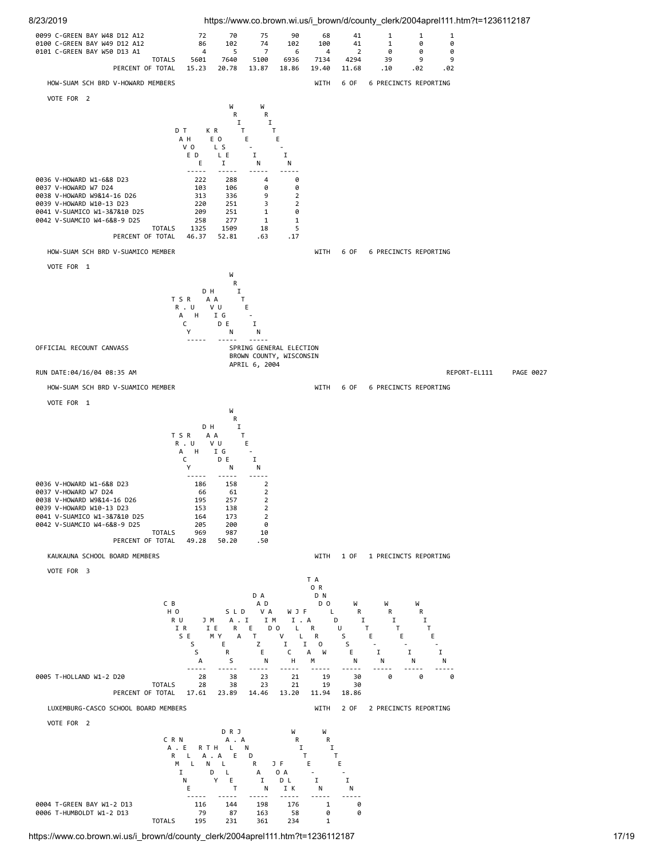

https://www.co.brown.wi.us/i\_brown/d/county\_clerk/2004aprel111.htm?t=1236112187 17/19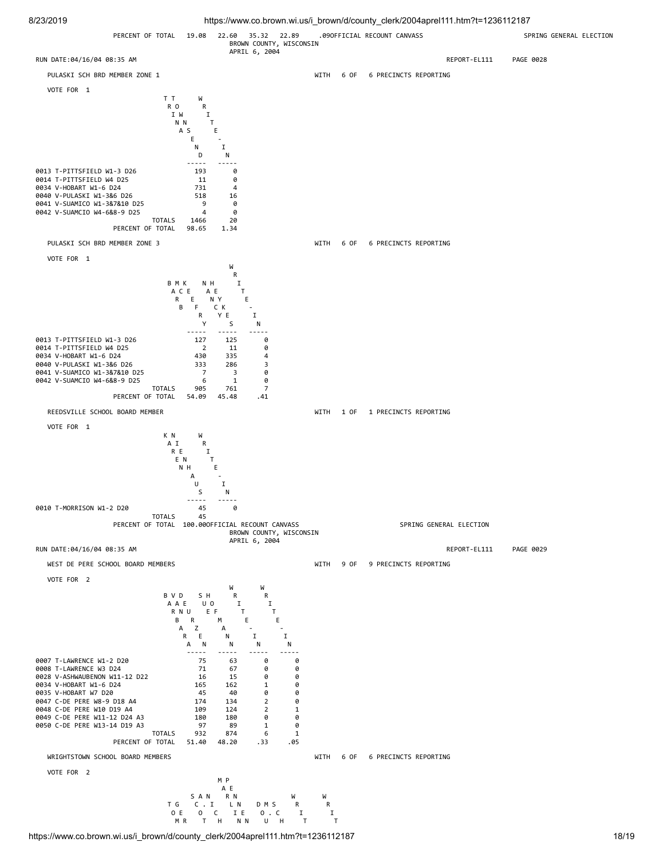

https://www.co.brown.wi.us/i\_brown/d/county\_clerk/2004aprel111.htm?t=1236112187 18/19